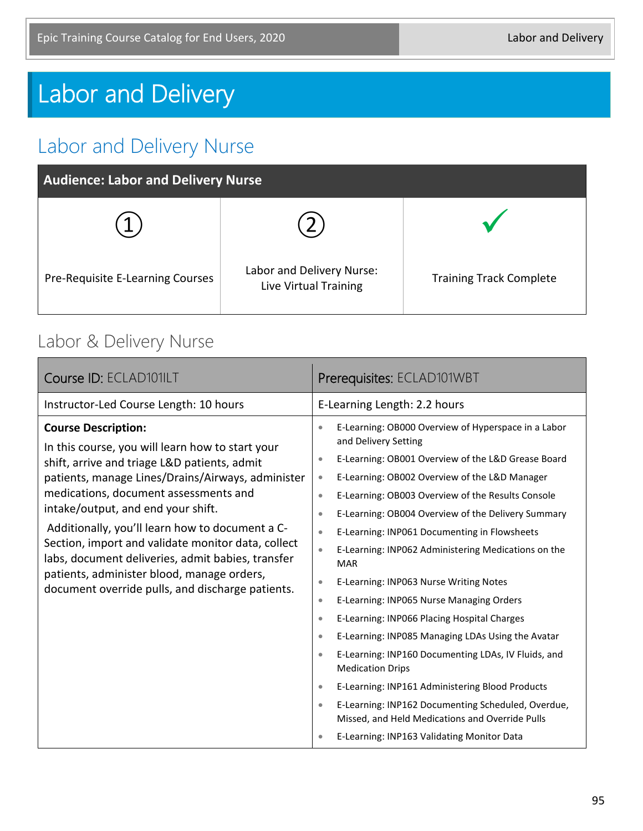# Labor and Delivery

## Labor and Delivery Nurse

| <b>Audience: Labor and Delivery Nurse</b> |                                                    |                                |
|-------------------------------------------|----------------------------------------------------|--------------------------------|
|                                           |                                                    |                                |
| Pre-Requisite E-Learning Courses          | Labor and Delivery Nurse:<br>Live Virtual Training | <b>Training Track Complete</b> |

#### Labor & Delivery Nurse

| Course ID: ECLAD101ILT                                                                                                                                                                                                                                                                                                                                                                                                                                                                                                             | Prerequisites: ECLAD101WBT                                                                                                                                                                                                                                                                                                                                                                                                                                                                                                                                                                                                                                                                                                                                                                                                                                                                                                                                                                                                                                                                                  |
|------------------------------------------------------------------------------------------------------------------------------------------------------------------------------------------------------------------------------------------------------------------------------------------------------------------------------------------------------------------------------------------------------------------------------------------------------------------------------------------------------------------------------------|-------------------------------------------------------------------------------------------------------------------------------------------------------------------------------------------------------------------------------------------------------------------------------------------------------------------------------------------------------------------------------------------------------------------------------------------------------------------------------------------------------------------------------------------------------------------------------------------------------------------------------------------------------------------------------------------------------------------------------------------------------------------------------------------------------------------------------------------------------------------------------------------------------------------------------------------------------------------------------------------------------------------------------------------------------------------------------------------------------------|
| Instructor-Led Course Length: 10 hours                                                                                                                                                                                                                                                                                                                                                                                                                                                                                             | E-Learning Length: 2.2 hours                                                                                                                                                                                                                                                                                                                                                                                                                                                                                                                                                                                                                                                                                                                                                                                                                                                                                                                                                                                                                                                                                |
| <b>Course Description:</b><br>In this course, you will learn how to start your<br>shift, arrive and triage L&D patients, admit<br>patients, manage Lines/Drains/Airways, administer<br>medications, document assessments and<br>intake/output, and end your shift.<br>Additionally, you'll learn how to document a C-<br>Section, import and validate monitor data, collect<br>labs, document deliveries, admit babies, transfer<br>patients, administer blood, manage orders,<br>document override pulls, and discharge patients. | E-Learning: OB000 Overview of Hyperspace in a Labor<br>$\bullet$<br>and Delivery Setting<br>E-Learning: OB001 Overview of the L&D Grease Board<br>$\bullet$<br>E-Learning: OB002 Overview of the L&D Manager<br>$\bullet$<br>E-Learning: OB003 Overview of the Results Console<br>$\bullet$<br>E-Learning: OB004 Overview of the Delivery Summary<br>$\bullet$<br>E-Learning: INP061 Documenting in Flowsheets<br>$\bullet$<br>E-Learning: INP062 Administering Medications on the<br>$\bullet$<br><b>MAR</b><br>E-Learning: INP063 Nurse Writing Notes<br>$\bullet$<br>E-Learning: INP065 Nurse Managing Orders<br>$\bullet$<br>E-Learning: INP066 Placing Hospital Charges<br>$\bullet$<br>E-Learning: INP085 Managing LDAs Using the Avatar<br>$\bullet$<br>E-Learning: INP160 Documenting LDAs, IV Fluids, and<br>$\bullet$<br><b>Medication Drips</b><br>E-Learning: INP161 Administering Blood Products<br>$\bullet$<br>E-Learning: INP162 Documenting Scheduled, Overdue,<br>$\bullet$<br>Missed, and Held Medications and Override Pulls<br>E-Learning: INP163 Validating Monitor Data<br>$\bullet$ |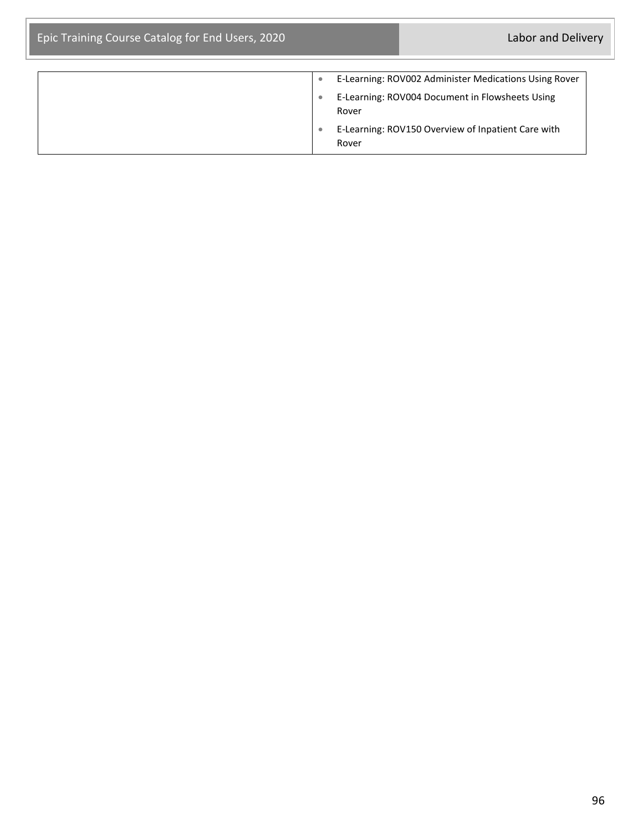| ۰ | E-Learning: ROV002 Administer Medications Using Rover       |
|---|-------------------------------------------------------------|
|   | E-Learning: ROV004 Document in Flowsheets Using<br>Rover    |
|   | E-Learning: ROV150 Overview of Inpatient Care with<br>Rover |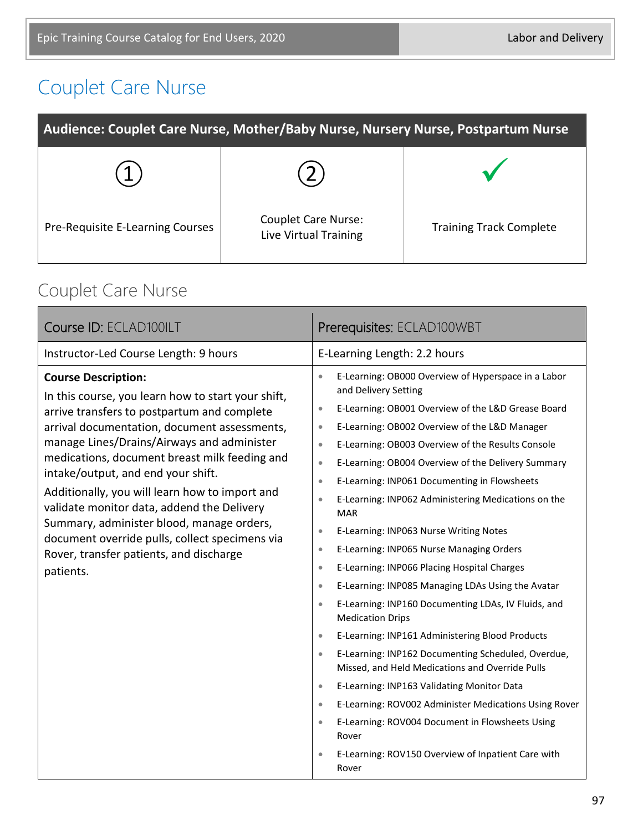## Couplet Care Nurse

| Audience: Couplet Care Nurse, Mother/Baby Nurse, Nursery Nurse, Postpartum Nurse |                                                     |                                |
|----------------------------------------------------------------------------------|-----------------------------------------------------|--------------------------------|
|                                                                                  |                                                     |                                |
| Pre-Requisite E-Learning Courses                                                 | <b>Couplet Care Nurse:</b><br>Live Virtual Training | <b>Training Track Complete</b> |

#### Couplet Care Nurse

| Course ID: ECLAD100ILT                                                                                                                                                                                                                                                                                                                                                                                                                                                                                                                                                      | Prerequisites: ECLAD100WBT                                                                                                                                                                                                                                                                                                                                                                                                                                                                                                                                                                                                                                                                                                                                                                                                                                                                                                                                                                                                                                                                                                                                                                                                                                                                                                             |
|-----------------------------------------------------------------------------------------------------------------------------------------------------------------------------------------------------------------------------------------------------------------------------------------------------------------------------------------------------------------------------------------------------------------------------------------------------------------------------------------------------------------------------------------------------------------------------|----------------------------------------------------------------------------------------------------------------------------------------------------------------------------------------------------------------------------------------------------------------------------------------------------------------------------------------------------------------------------------------------------------------------------------------------------------------------------------------------------------------------------------------------------------------------------------------------------------------------------------------------------------------------------------------------------------------------------------------------------------------------------------------------------------------------------------------------------------------------------------------------------------------------------------------------------------------------------------------------------------------------------------------------------------------------------------------------------------------------------------------------------------------------------------------------------------------------------------------------------------------------------------------------------------------------------------------|
| Instructor-Led Course Length: 9 hours                                                                                                                                                                                                                                                                                                                                                                                                                                                                                                                                       | E-Learning Length: 2.2 hours                                                                                                                                                                                                                                                                                                                                                                                                                                                                                                                                                                                                                                                                                                                                                                                                                                                                                                                                                                                                                                                                                                                                                                                                                                                                                                           |
| <b>Course Description:</b><br>In this course, you learn how to start your shift,<br>arrive transfers to postpartum and complete<br>arrival documentation, document assessments,<br>manage Lines/Drains/Airways and administer<br>medications, document breast milk feeding and<br>intake/output, and end your shift.<br>Additionally, you will learn how to import and<br>validate monitor data, addend the Delivery<br>Summary, administer blood, manage orders,<br>document override pulls, collect specimens via<br>Rover, transfer patients, and discharge<br>patients. | E-Learning: OB000 Overview of Hyperspace in a Labor<br>$\bullet$<br>and Delivery Setting<br>E-Learning: OB001 Overview of the L&D Grease Board<br>$\bullet$<br>E-Learning: OB002 Overview of the L&D Manager<br>$\bullet$<br>E-Learning: OB003 Overview of the Results Console<br>$\bullet$<br>E-Learning: OB004 Overview of the Delivery Summary<br>$\bullet$<br>E-Learning: INP061 Documenting in Flowsheets<br>$\bullet$<br>E-Learning: INP062 Administering Medications on the<br>$\bullet$<br><b>MAR</b><br>E-Learning: INP063 Nurse Writing Notes<br>$\bullet$<br>E-Learning: INP065 Nurse Managing Orders<br>$\bullet$<br>E-Learning: INP066 Placing Hospital Charges<br>$\bullet$<br>E-Learning: INP085 Managing LDAs Using the Avatar<br>$\bullet$<br>E-Learning: INP160 Documenting LDAs, IV Fluids, and<br>$\bullet$<br><b>Medication Drips</b><br>E-Learning: INP161 Administering Blood Products<br>$\bullet$<br>E-Learning: INP162 Documenting Scheduled, Overdue,<br>$\bullet$<br>Missed, and Held Medications and Override Pulls<br>E-Learning: INP163 Validating Monitor Data<br>$\bullet$<br>E-Learning: ROV002 Administer Medications Using Rover<br>$\bullet$<br>E-Learning: ROV004 Document in Flowsheets Using<br>$\bullet$<br>Rover<br>E-Learning: ROV150 Overview of Inpatient Care with<br>$\bullet$<br>Rover |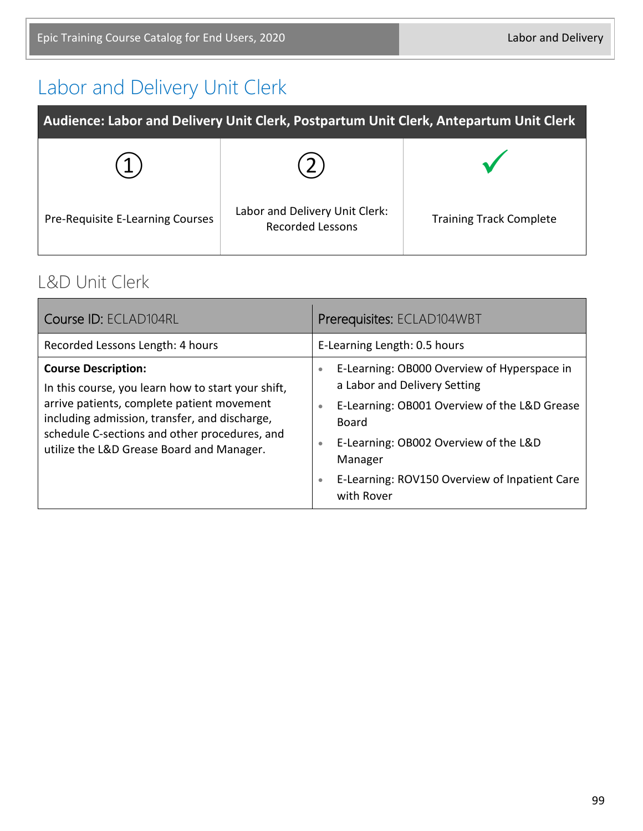## Labor and Delivery Unit Clerk

| Audience: Labor and Delivery Unit Clerk, Postpartum Unit Clerk, Antepartum Unit Clerk |                                                           |                                |
|---------------------------------------------------------------------------------------|-----------------------------------------------------------|--------------------------------|
|                                                                                       |                                                           |                                |
| Pre-Requisite E-Learning Courses                                                      | Labor and Delivery Unit Clerk:<br><b>Recorded Lessons</b> | <b>Training Track Complete</b> |

#### L&D Unit Clerk

| Course ID: ECLAD104RL                                                                                                                                                                                                                                                         | Prerequisites: ECLAD104WBT                                                                                                                                                                                                                                                                                  |
|-------------------------------------------------------------------------------------------------------------------------------------------------------------------------------------------------------------------------------------------------------------------------------|-------------------------------------------------------------------------------------------------------------------------------------------------------------------------------------------------------------------------------------------------------------------------------------------------------------|
| Recorded Lessons Length: 4 hours                                                                                                                                                                                                                                              | E-Learning Length: 0.5 hours                                                                                                                                                                                                                                                                                |
| <b>Course Description:</b><br>In this course, you learn how to start your shift,<br>arrive patients, complete patient movement<br>including admission, transfer, and discharge,<br>schedule C-sections and other procedures, and<br>utilize the L&D Grease Board and Manager. | E-Learning: OB000 Overview of Hyperspace in<br>$\bullet$<br>a Labor and Delivery Setting<br>E-Learning: OB001 Overview of the L&D Grease<br>$\bullet$<br>Board<br>E-Learning: OB002 Overview of the L&D<br>$\bullet$<br>Manager<br>E-Learning: ROV150 Overview of Inpatient Care<br>$\bullet$<br>with Rover |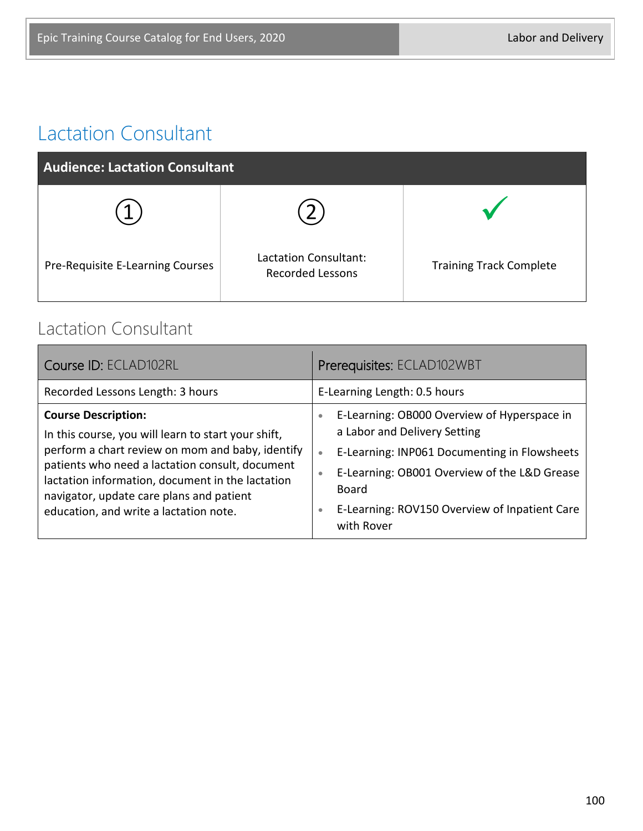### Lactation Consultant

| <b>Audience: Lactation Consultant</b> |                                                  |                                |
|---------------------------------------|--------------------------------------------------|--------------------------------|
|                                       |                                                  |                                |
| Pre-Requisite E-Learning Courses      | Lactation Consultant:<br><b>Recorded Lessons</b> | <b>Training Track Complete</b> |

#### Lactation Consultant

| Course ID: ECLAD102RL                                                                                                                                                                                                                                                                                                              | Prerequisites: ECLAD102WBT                                                                                                                                                                                                                                                                      |
|------------------------------------------------------------------------------------------------------------------------------------------------------------------------------------------------------------------------------------------------------------------------------------------------------------------------------------|-------------------------------------------------------------------------------------------------------------------------------------------------------------------------------------------------------------------------------------------------------------------------------------------------|
| Recorded Lessons Length: 3 hours                                                                                                                                                                                                                                                                                                   | E-Learning Length: 0.5 hours                                                                                                                                                                                                                                                                    |
| <b>Course Description:</b><br>In this course, you will learn to start your shift,<br>perform a chart review on mom and baby, identify<br>patients who need a lactation consult, document<br>lactation information, document in the lactation<br>navigator, update care plans and patient<br>education, and write a lactation note. | E-Learning: OB000 Overview of Hyperspace in<br>$\bullet$<br>a Labor and Delivery Setting<br>E-Learning: INP061 Documenting in Flowsheets<br>$\bullet$<br>E-Learning: OB001 Overview of the L&D Grease<br>۰<br>Board<br>E-Learning: ROV150 Overview of Inpatient Care<br>$\bullet$<br>with Rover |